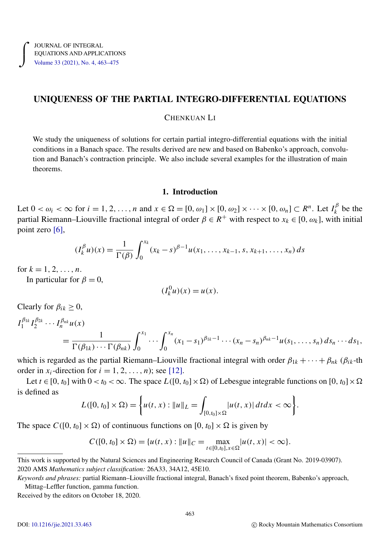# UNIQUENESS OF THE PARTIAL INTEGRO-DIFFERENTIAL EQUATIONS

## CHENKUAN LI

We study the uniqueness of solutions for certain partial integro-differential equations with the initial conditions in a Banach space. The results derived are new and based on Babenko's approach, convolution and Banach's contraction principle. We also include several examples for the illustration of main theorems.

## 1. Introduction

Let  $0 < \omega_i < \infty$  for  $i = 1, 2, ..., n$  and  $x \in \Omega = [0, \omega_1] \times [0, \omega_2] \times \cdots \times [0, \omega_n] \subset R^n$ . Let  $I_k^{\beta}$  $\binom{p}{k}$  be the partial Riemann–Liouville fractional integral of order  $\beta \in R^+$  with respect to  $x_k \in [0, \omega_k]$ , with initial point zero [\[6\]](#page-12-0),

$$
(I_k^{\beta} u)(x) = \frac{1}{\Gamma(\beta)} \int_0^{x_k} (x_k - s)^{\beta - 1} u(x_1, \dots, x_{k-1}, s, x_{k+1}, \dots, x_n) ds
$$

for  $k = 1, 2, ..., n$ .

In particular for  $\beta = 0$ ,

$$
(I_k^0 u)(x) = u(x).
$$

Clearly for  $\beta_{ik} \geq 0$ ,

$$
I_1^{\beta_{1k}} I_2^{\beta_{2k}} \cdots I_n^{\beta_{nk}} u(x) = \frac{1}{\Gamma(\beta_{1k}) \cdots \Gamma(\beta_{nk})} \int_0^{x_1} \cdots \int_0^{x_n} (x_1 - s_1)^{\beta_{1k}-1} \cdots (x_n - s_n)^{\beta_{nk}-1} u(s_1, \ldots, s_n) ds_n \cdots ds_1,
$$

which is regarded as the partial Riemann–Liouville fractional integral with order  $\beta_{1k} + \cdots + \beta_{nk}$  ( $\beta_{ik}$ -th order in  $x_i$ -direction for  $i = 1, 2, \ldots, n$ ; see [\[12\]](#page-12-1).

Let  $t \in [0, t_0]$  with  $0 < t_0 < \infty$ . The space  $L([0, t_0] \times \Omega)$  of Lebesgue integrable functions on  $[0, t_0] \times \Omega$ is defined as

$$
L([0, t_0] \times \Omega) = \left\{ u(t, x) : ||u||_L = \int_{[0, t_0] \times \Omega} |u(t, x)| \, dt \, dx < \infty \right\}.
$$

The space  $C([0, t_0] \times \Omega)$  of continuous functions on  $[0, t_0] \times \Omega$  is given by

$$
C([0, t_0] \times \Omega) = \{u(t, x) : ||u||_C = \max_{t \in [0, t_0], x \in \Omega} |u(t, x)| < \infty\}.
$$

Received by the editors on October 18, 2020.

This work is supported by the Natural Sciences and Engineering Research Council of Canada (Grant No. 2019-03907). 2020 AMS *Mathematics subject classification:* 26A33, 34A12, 45E10.

*Keywords and phrases:* partial Riemann–Liouville fractional integral, Banach's fixed point theorem, Babenko's approach, Mittag–Leffler function, gamma function.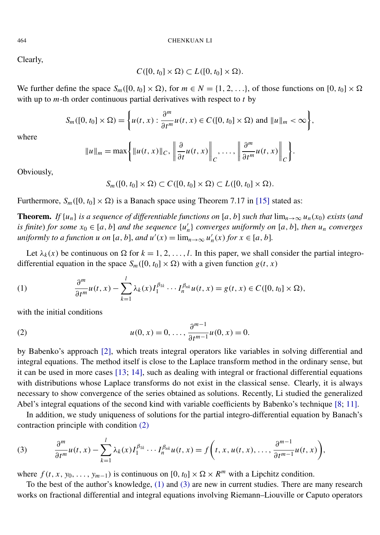Clearly,

$$
C([0, t_0] \times \Omega) \subset L([0, t_0] \times \Omega).
$$

We further define the space  $S_m([0, t_0] \times \Omega)$ , for  $m \in N = \{1, 2, \ldots\}$ , of those functions on  $[0, t_0] \times \Omega$ with up to *m*-th order continuous partial derivatives with respect to *t* by

$$
S_m([0, t_0] \times \Omega) = \left\{ u(t, x) : \frac{\partial^m}{\partial t^m} u(t, x) \in C([0, t_0] \times \Omega) \text{ and } ||u||_m < \infty \right\},\
$$

where

$$
\|u\|_{m} = \max\bigg\{\|u(t,x)\|_{C}, \left\|\frac{\partial}{\partial t}u(t,x)\right\|_{C}, \ldots, \left\|\frac{\partial^{m}}{\partial t^{m}}u(t,x)\right\|_{C}\bigg\}.
$$

Obviously,

<span id="page-1-1"></span>
$$
S_m([0, t_0] \times \Omega) \subset C([0, t_0] \times \Omega) \subset L([0, t_0] \times \Omega).
$$

Furthermore,  $S_m([0, t_0] \times \Omega)$  is a Banach space using Theorem 7.17 in [\[15\]](#page-12-2) stated as:

**Theorem.** *If*  $\{u_n\}$  *is a sequence of differentiable functions on* [*a*, *b*] *such that*  $\lim_{n\to\infty} u_n(x_0)$  *exists* (*and is finite*) *for some*  $x_0 \in [a, b]$  *and the sequence*  $\{u'_n\}$  *converges uniformly on*  $[a, b]$ , *then*  $u_n$  *converges uniformly to a function u on* [*a*, *b*], *and*  $u'(x) = \lim_{n \to \infty} u'_n(x)$  *for*  $x \in [a, b]$ *.* 

Let  $\lambda_k(x)$  be continuous on  $\Omega$  for  $k = 1, 2, ..., l$ . In this paper, we shall consider the partial integrodifferential equation in the space  $S_m([0, t_0] \times \Omega)$  with a given function  $g(t, x)$ 

(1) 
$$
\frac{\partial^m}{\partial t^m}u(t,x)-\sum_{k=1}^l\lambda_k(x)I_1^{\beta_{1k}}\cdots I_n^{\beta_{nk}}u(t,x)=g(t,x)\in C([0,t_0]\times\Omega),
$$

<span id="page-1-0"></span>with the initial conditions

(2) 
$$
u(0, x) = 0, \dots, \frac{\partial^{m-1}}{\partial t^{m-1}} u(0, x) = 0.
$$

by Babenko's approach [\[2\]](#page-12-3), which treats integral operators like variables in solving differential and integral equations. The method itself is close to the Laplace transform method in the ordinary sense, but it can be used in more cases [\[13;](#page-12-4) [14\]](#page-12-5), such as dealing with integral or fractional differential equations with distributions whose Laplace transforms do not exist in the classical sense. Clearly, it is always necessary to show convergence of the series obtained as solutions. Recently, Li studied the generalized Abel's integral equations of the second kind with variable coefficients by Babenko's technique [\[8;](#page-12-6) [11\]](#page-12-7).

<span id="page-1-2"></span>In addition, we study uniqueness of solutions for the partial integro-differential equation by Banach's contraction principle with condition [\(2\)](#page-1-0)

(3) 
$$
\frac{\partial^m}{\partial t^m}u(t,x)-\sum_{k=1}^l\lambda_k(x)I_1^{\beta_{1k}}\cdots I_n^{\beta_{nk}}u(t,x)=f\bigg(t,x,u(t,x),\ldots,\frac{\partial^{m-1}}{\partial t^{m-1}}u(t,x)\bigg),
$$

where  $f(t, x, y_0, \ldots, y_{m-1})$  is continuous on  $[0, t_0] \times \Omega \times R^m$  with a Lipchitz condition.

To the best of the author's knowledge, [\(1\)](#page-1-1) and [\(3\)](#page-1-2) are new in current studies. There are many research works on fractional differential and integral equations involving Riemann–Liouville or Caputo operators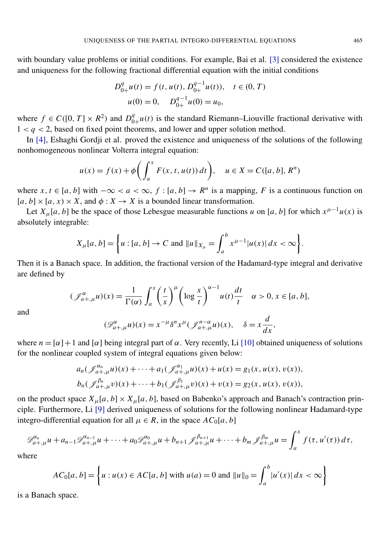with boundary value problems or initial conditions. For example, Bai et al. [\[3\]](#page-12-8) considered the existence and uniqueness for the following fractional differential equation with the initial conditions

$$
D_{0+}^{q}u(t) = f(t, u(t), D_{0+}^{q-1}u(t)), \quad t \in (0, T)
$$
  
 
$$
u(0) = 0, \quad D_{0+}^{q-1}u(0) = u_0,
$$

where  $f \in C([0, T] \times R^2)$  and  $D_0^q$  $_{0+}^{q}$ u(*t*) is the standard Riemann–Liouville fractional derivative with  $1 < q < 2$ , based on fixed point theorems, and lower and upper solution method.

In [\[4\]](#page-12-9), Eshaghi Gordji et al. proved the existence and uniqueness of the solutions of the following nonhomogeneous nonlinear Volterra integral equation:

$$
u(x) = f(x) + \phi \bigg( \int_a^x F(x, t, u(t)) dt \bigg), \quad u \in X = C([a, b], R^n)
$$

where  $x, t \in [a, b]$  with  $-\infty < a < \infty$ ,  $f : [a, b] \to R^n$  is a mapping, F is a continuous function on  $[a, b] \times [a, x) \times X$ , and  $\phi: X \to X$  is a bounded linear transformation.

Let  $X_\mu[a, b]$  be the space of those Lebesgue measurable functions *u* on [*a*, *b*] for which  $x^{\mu-1}u(x)$  is absolutely integrable:

$$
X_{\mu}[a, b] = \left\{ u : [a, b] \to C \text{ and } ||u||_{X_{\mu}} = \int_{a}^{b} x^{\mu-1} |u(x)| dx < \infty \right\}.
$$

Then it is a Banach space. In addition, the fractional version of the Hadamard-type integral and derivative are defined by

$$
(\mathcal{J}_{a+,\mu}^{\alpha}u)(x) = \frac{1}{\Gamma(\alpha)} \int_{a}^{x} \left(\frac{t}{x}\right)^{\mu} \left(\log \frac{x}{t}\right)^{\alpha-1} u(t) \frac{dt}{t} \quad \alpha > 0, x \in [a, b],
$$
  

$$
(\mathcal{D}_{a}^{\alpha} - u)(x) = x^{-\mu} \delta^{n} x^{\mu} (\delta^{n-\alpha} u)(x) \quad \delta = x \frac{d}{dx}
$$

and

$$
(\mathcal{D}_{a+, \mu}^{\alpha} u)(x) = x^{-\mu} \delta^n x^{\mu} (\mathcal{J}_{a+, \mu}^{n-\alpha} u)(x), \quad \delta = x \frac{d}{dx},
$$

where  $n = [\alpha] + 1$  and  $[\alpha]$  being integral part of  $\alpha$ . Very recently, Li [\[10\]](#page-12-10) obtained uniqueness of solutions for the nonlinear coupled system of integral equations given below:

$$
a_n(\mathcal{J}_{a+, \mu}^{\alpha_n}u)(x) + \cdots + a_1(\mathcal{J}_{a+, \mu}^{\alpha_1}u)(x) + u(x) = g_1(x, u(x), v(x)),
$$
  

$$
b_n(\mathcal{J}_{a+, \mu}^{\beta_n}v)(x) + \cdots + b_1(\mathcal{J}_{a+, \mu}^{\beta_1}v)(x) + v(x) = g_2(x, u(x), v(x)),
$$

on the product space  $X_{\mu}[a, b] \times X_{\mu}[a, b]$ , based on Babenko's approach and Banach's contraction principle. Furthermore, Li [\[9\]](#page-12-11) derived uniqueness of solutions for the following nonlinear Hadamard-type integro-differential equation for all  $\mu \in R$ , in the space  $AC_0[a, b]$ 

$$
\mathscr{D}_{a+,\mu}^{\alpha_n}u+a_{n-1}\mathscr{D}_{a+,\mu}^{\alpha_{n-1}}u+\cdots+a_0\mathscr{D}_{a+,\mu}^{\alpha_0}u+b_{n+1}\mathscr{J}_{a+,\mu}^{\beta_{n+1}}u+\cdots+b_m\mathscr{J}_{a+,\mu}^{\beta_m}u=\int_a^x f(\tau,u'(\tau))\,d\tau,
$$

where

$$
AC_0[a, b] = \left\{ u : u(x) \in AC[a, b] \text{ with } u(a) = 0 \text{ and } ||u||_0 = \int_a^b |u'(x)| dx < \infty \right\}
$$

is a Banach space.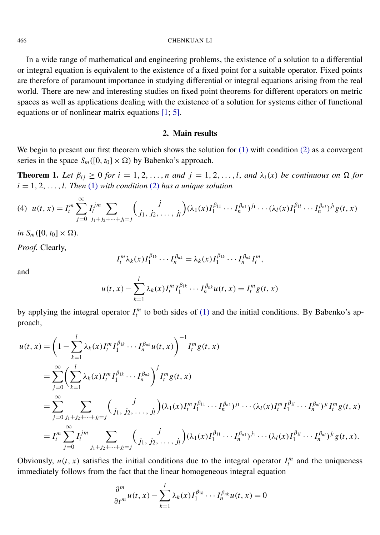#### 466 CHENKUAN LI

In a wide range of mathematical and engineering problems, the existence of a solution to a differential or integral equation is equivalent to the existence of a fixed point for a suitable operator. Fixed points are therefore of paramount importance in studying differential or integral equations arising from the real world. There are new and interesting studies on fixed point theorems for different operators on metric spaces as well as applications dealing with the existence of a solution for systems either of functional equations or of nonlinear matrix equations [\[1;](#page-12-12) [5\]](#page-12-13).

# <span id="page-3-0"></span>2. Main results

We begin to present our first theorem which shows the solution for  $(1)$  with condition  $(2)$  as a convergent series in the space  $S_m([0, t_0] \times \Omega)$  by Babenko's approach.

<span id="page-3-1"></span>**Theorem 1.** Let  $\beta_{ij} \geq 0$  for  $i = 1, 2, ..., n$  and  $j = 1, 2, ..., l$ , and  $\lambda_i(x)$  be continuous on  $\Omega$  for  $i = 1, 2, \ldots, l$ . Then [\(1\)](#page-1-1) with condition [\(2\)](#page-1-0) has a unique solution

$$
(4) \ \ u(t,x) = I_t^m \sum_{j=0}^{\infty} I_t^{jm} \sum_{j_1+j_2+\cdots+j_l=j} {j \choose j_1, j_2, \ldots, j_l} (\lambda_1(x) I_1^{\beta_{11}} \cdots I_n^{\beta_{n1}})^{j_1} \cdots (\lambda_l(x) I_1^{\beta_{1l}} \cdots I_n^{\beta_{nl}})^{j_l} g(t,x)
$$

*in*  $S_m([0, t_0] \times \Omega)$ .

*Proof.* Clearly,

$$
I_t^m \lambda_k(x) I_1^{\beta_{1k}} \cdots I_n^{\beta_{nk}} = \lambda_k(x) I_1^{\beta_{1k}} \cdots I_n^{\beta_{nk}} I_t^m,
$$

and

$$
u(t, x) - \sum_{k=1}^{l} \lambda_k(x) I_t^m I_1^{\beta_{1k}} \cdots I_n^{\beta_{nk}} u(t, x) = I_t^m g(t, x)
$$

by applying the integral operator  $I_t^m$  to both sides of [\(1\)](#page-1-1) and the initial conditions. By Babenko's approach,

$$
u(t, x) = \left(1 - \sum_{k=1}^{l} \lambda_k(x)I_l^m I_1^{\beta_{1k}} \cdots I_n^{\beta_{nk}} u(t, x)\right)^{-1} I_l^m g(t, x)
$$
  
\n
$$
= \sum_{j=0}^{\infty} \left(\sum_{k=1}^{l} \lambda_k(x)I_l^m I_1^{\beta_{1k}} \cdots I_n^{\beta_{nk}}\right)^j I_l^m g(t, x)
$$
  
\n
$$
= \sum_{j=0}^{\infty} \sum_{j_1+j_2+\cdots+j_l=j} \left(\int_{j_1, j_2, \cdots, j_l} \lambda_1(x)I_l^m I_l^{\beta_{11}} \cdots I_n^{\beta_{n1}} I_l^{\beta_{1l}} \cdots (\lambda_l(x)I_l^m I_l^{\beta_{1l}} \cdots I_n^{\beta_{nl}})^{j_l} I_l^m g(t, x)\right)
$$
  
\n
$$
= I_l^m \sum_{j=0}^{\infty} I_l^{jm} \sum_{j_1+j_2+\cdots+j_l=j} \left(\int_{j_1, j_2, \cdots, j_l} \lambda_1(x)I_l^{\beta_{11}} \cdots I_n^{\beta_{n1}} I_l^{\beta_{1l}} \cdots (\lambda_l(x)I_l^{\beta_{ll}} \cdots I_n^{\beta_{nl}})^{j_l} g(t, x)\right).
$$

Obviously,  $u(t, x)$  satisfies the initial conditions due to the integral operator  $I_t^m$  and the uniqueness immediately follows from the fact that the linear homogeneous integral equation

$$
\frac{\partial^m}{\partial t^m}u(t,x)-\sum_{k=1}^l\lambda_k(x)I_1^{\beta_{1k}}\cdots I_n^{\beta_{nk}}u(t,x)=0
$$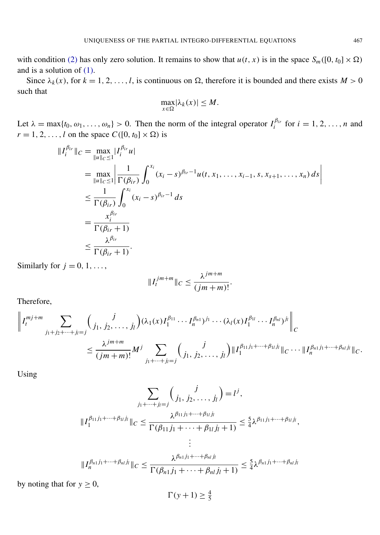with condition [\(2\)](#page-1-0) has only zero solution. It remains to show that  $u(t, x)$  is in the space  $S_m([0, t_0] \times \Omega)$ and is a solution of [\(1\).](#page-1-1)

Since  $\lambda_k(x)$ , for  $k = 1, 2, ..., l$ , is continuous on  $\Omega$ , therefore it is bounded and there exists  $M > 0$ such that

$$
\max_{x \in \Omega} |\lambda_k(x)| \leq M.
$$

Let  $\lambda = \max\{t_0, \omega_1, \dots, \omega_n\} > 0$ . Then the norm of the integral operator  $I_i^{\beta_{ir}}$  $i^{i}$  for  $i = 1, 2, ..., n$  and  $r = 1, 2, \ldots, l$  on the space  $C([0, t_0] \times \Omega)$  is

$$
||I_i^{\beta_{ir}}||_C = \max_{||u||_C \le 1} |I_i^{\beta_{ir}} u|
$$
  
\n
$$
= \max_{||u||_C \le 1} \left| \frac{1}{\Gamma(\beta_{ir})} \int_0^{x_i} (x_i - s)^{\beta_{ir} - 1} u(t, x_1, \dots, x_{i-1}, s, x_{s+1}, \dots, x_n) ds \right|
$$
  
\n
$$
\le \frac{1}{\Gamma(\beta_{ir})} \int_0^{x_i} (x_i - s)^{\beta_{ir} - 1} ds
$$
  
\n
$$
= \frac{x_i^{\beta_{ir}}}{\Gamma(\beta_{ir} + 1)}
$$
  
\n
$$
\le \frac{\lambda^{\beta_{ir}}}{\Gamma(\beta_{ir} + 1)}.
$$

Similarly for  $j = 0, 1, \ldots$ ,

$$
||I_t^{jm+m}||_C \leq \frac{\lambda^{jm+m}}{(jm+m)!}.
$$

Therefore,

$$
\left\|I_l^{mj+m}\sum_{j_1+j_2+\cdots+j_l=j} \binom{j}{j_1,j_2,\ldots,j_l}(\lambda_1(x)I_1^{\beta_{11}}\cdots I_n^{\beta_{n1}})^{j_1}\cdots(\lambda_l(x)I_1^{\beta_{1l}}\cdots I_n^{\beta_{nl}})^{j_l}\right\|_C
$$
  

$$
\leq \frac{\lambda^{jm+m}}{(jm+m)!}M^j\sum_{j_1+\cdots+j_l=j} \binom{j}{j_1,j_2,\ldots,j_l} \|\mathbf{I}_1^{\beta_{11}j_1+\cdots+\beta_{1l}j_l}\|_C\cdots\|\mathbf{I}_n^{\beta_{n1}j_1+\cdots+\beta_{nl}j_l}\|_C.
$$

Using

$$
\sum_{j_1 + \dots + j_l = j} {j \choose j_1, j_2, \dots, j_l} = l^j,
$$
  

$$
||I_1^{\beta_{11} j_1 + \dots + \beta_{1l} j_l}||_C \le \frac{\lambda^{\beta_{11} j_1 + \dots + \beta_{1l} j_l}}{\Gamma(\beta_{11} j_1 + \dots + \beta_{1l} j_l + 1)} \le \frac{5}{4} \lambda^{\beta_{11} j_1 + \dots + \beta_{1l} j_l},
$$
  

$$
||I_n^{\beta_{n1} j_1 + \dots + \beta_{nl} j_l}||_C \le \frac{\lambda^{\beta_{n1} j_1 + \dots + \beta_{nl} j_l}}{\Gamma(\beta_{n1} j_1 + \dots + \beta_{nl} j_l + 1)} \le \frac{5}{4} \lambda^{\beta_{n1} j_1 + \dots + \beta_{nl} j_l}
$$

by noting that for  $y \ge 0$ ,

$$
\Gamma(y+1) \ge \frac{4}{5}
$$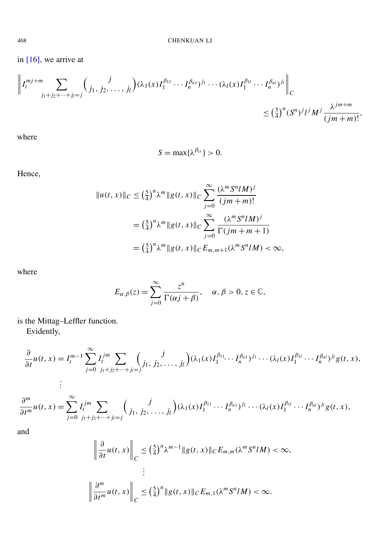in  $[16]$ , we arrive at

$$
\left\|I_l^{mj+m}\sum_{j_1+j_2+\dots+j_l=j} {j \choose j_1, j_2, \dots, j_l} (\lambda_1(x)I_1^{\beta_{11}} \cdots I_n^{\beta_{n1}})^{j_1} \cdots (\lambda_l(x)I_1^{\beta_{1l}} \cdots I_n^{\beta_{nl}})^{j_l}\right\|_C
$$
  
\$\leq \left(\frac{5}{4}\right)^n (S^n)^j l^j M^j \frac{\lambda^{jm+m}}{(jm+m)!},

where

$$
S=\max\{\lambda^{\beta_{ir}}\}>0.
$$

Hence,

$$
||u(t,x)||_C \le \left(\frac{5}{4}\right)^n \lambda^m ||g(t,x)||_C \sum_{j=0}^{\infty} \frac{(\lambda^m S^n I M)^j}{(jm+m)!}
$$
  
=  $\left(\frac{5}{4}\right)^n \lambda^m ||g(t,x)||_C \sum_{j=0}^{\infty} \frac{(\lambda^m S^n I M)^j}{\Gamma(jm+m+1)}$   
=  $\left(\frac{5}{4}\right)^n \lambda^m ||g(t,x)||_C E_{m,m+1}(\lambda^m S^n I M) < \infty,$ 

where

$$
E_{\alpha,\beta}(z) = \sum_{j=0}^{\infty} \frac{z^n}{\Gamma(\alpha j + \beta)}, \quad \alpha, \beta > 0, z \in \mathbb{C},
$$

is the Mittag–Leffler function.

Evidently,

$$
\frac{\partial}{\partial t}u(t,x) = I_{t}^{m-1} \sum_{j=0}^{\infty} I_{j}^{jm} \sum_{j_{1}+j_{2}+\cdots+j_{l}=j} {j \choose j_{1}, j_{2}, \ldots, j_{l}} (\lambda_{1}(x)I_{1}^{\beta_{11}} \cdots I_{n}^{\beta_{n1}})^{j_{1}} \cdots (\lambda_{l}(x)I_{1}^{\beta_{1l}} \cdots I_{n}^{\beta_{nl}})^{j_{l}} g(t,x),
$$
\n
$$
\vdots
$$
\n
$$
\frac{\partial^{m}}{\partial t^{m}}u(t,x) = \sum_{j=0}^{\infty} I_{j_{1}+j_{2}+\cdots+j_{l}=j} {j \choose j_{1}, j_{2}, \ldots, j_{l}} (\lambda_{1}(x)I_{1}^{\beta_{11}} \cdots I_{n}^{\beta_{n1}})^{j_{1}} \cdots (\lambda_{l}(x)I_{1}^{\beta_{1l}} \cdots I_{n}^{\beta_{nl}})^{j_{l}} g(t,x),
$$

and

$$
\left\|\frac{\partial}{\partial t}u(t,x)\right\|_{C} \leq \left(\frac{5}{4}\right)^{n}\lambda^{m-1} \|g(t,x)\|_{C} E_{m,m}(\lambda^{m} S^{n} M) < \infty,
$$
  
\n
$$
\left\|\frac{\partial^{m}}{\partial t^{m}}u(t,x)\right\|_{C} \leq \left(\frac{5}{4}\right)^{n} \|g(t,x)\|_{C} E_{m,1}(\lambda^{m} S^{n} M) < \infty.
$$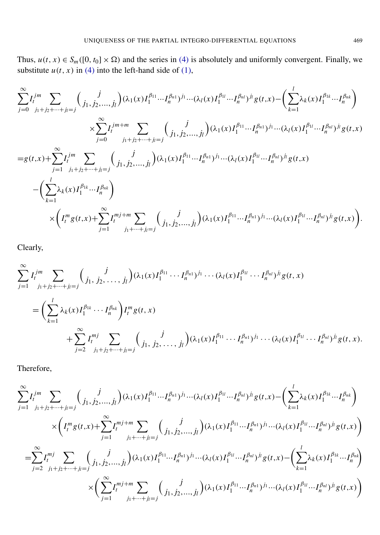Thus,  $u(t, x) \in S_m([0, t_0] \times \Omega)$  and the series in [\(4\)](#page-3-0) is absolutely and uniformly convergent. Finally, we substitute  $u(t, x)$  in [\(4\)](#page-3-0) into the left-hand side of [\(1\),](#page-1-1)

$$
\sum_{j=0}^{\infty} I_{j}^{jm} \sum_{j_{1}+j_{2}+\cdots+j_{l}=j} {j \choose j_{1},j_{2},...,j_{l}} (\lambda_{1}(x)I_{1}^{\beta_{11}}...I_{n}^{\beta_{n1}})^{j_{1}}...(\lambda_{l}(x)I_{1}^{\beta_{1l}}...I_{n}^{\beta_{nl}})^{j_{l}} g(t,x) - \left(\sum_{k=1}^{l} \lambda_{k}(x)I_{1}^{\beta_{1k}}...I_{n}^{\beta_{nk}}\right)
$$
\n
$$
\times \sum_{j=0}^{\infty} I_{j}^{jm+m} \sum_{j_{1}+j_{2}+...+j_{l}=j} {j \choose j_{1},j_{2},...,j_{l}} (\lambda_{1}(x)I_{1}^{\beta_{11}}...I_{n}^{\beta_{n1}})^{j_{1}}...(\lambda_{l}(x)I_{1}^{\beta_{1l}}...I_{n}^{\beta_{nl}})^{j_{l}} g(t,x)
$$
\n
$$
=g(t,x)+\sum_{j=1}^{\infty} I_{j_{1}+j_{2}+...+j_{l}=j} {j \choose j_{1},j_{2},...,j_{l}} (\lambda_{1}(x)I_{1}^{\beta_{11}}...I_{n}^{\beta_{n1}})^{j_{1}}...(\lambda_{l}(x)I_{1}^{\beta_{1l}}...I_{n}^{\beta_{nl}})^{j_{l}} g(t,x)
$$
\n
$$
-\left(\sum_{k=1}^{l} \lambda_{k}(x)I_{1}^{\beta_{1k}}...I_{n}^{\beta_{nk}}\right)
$$
\n
$$
\times \left(I_{i}^{m} g(t,x)+\sum_{j=1}^{\infty} I_{j_{1}+...+j_{l}=j}^{mj+m} \sum_{j_{1}+...+j_{l}=j} {j \choose j_{1},j_{2},...,j_{l}} (\lambda_{1}(x)I_{1}^{\beta_{11}}...I_{n}^{\beta_{n1}})^{j_{1}}...(\lambda_{l}(x)I_{1}^{\beta_{1l}}...I_{n}^{\beta_{nl}})^{j_{l}} g(t,x)\right).
$$

Clearly,

$$
\sum_{j=1}^{\infty} I_{i}^{jm} \sum_{j_{1}+j_{2}+\cdots+j_{l}=j} {j \choose j_{1}, j_{2}, \ldots, j_{l}} (\lambda_{1}(x)I_{1}^{\beta_{11}} \cdots I_{n}^{\beta_{n1}})^{j_{1}} \cdots (\lambda_{l}(x)I_{1}^{\beta_{1l}} \cdots I_{n}^{\beta_{nl}})^{j_{l}} g(t, x)
$$
\n
$$
= \left( \sum_{k=1}^{l} \lambda_{k}(x)I_{1}^{\beta_{1k}} \cdots I_{n}^{\beta_{nk}} \right) I_{i}^{m} g(t, x)
$$
\n
$$
+ \sum_{j=2}^{\infty} I_{j_{1}+j_{2}+\cdots+j_{l}=j}^{mj} {j \choose j_{1}, j_{2}, \ldots, j_{l}} (\lambda_{1}(x)I_{1}^{\beta_{11}} \cdots I_{n}^{\beta_{n1}})^{j_{1}} \cdots (\lambda_{l}(x)I_{1}^{\beta_{1l}} \cdots I_{n}^{\beta_{nl}})^{j_{l}} g(t, x).
$$

Therefore,

$$
\sum_{j=1}^{\infty} I_{j}^{jm} \sum_{j_{1}+j_{2}+\cdots+j_{l}=j} {j \choose j_{1},j_{2},...,j_{l}} (\lambda_{1}(x)I_{1}^{\beta_{11}} \cdots I_{n}^{\beta_{n1}})^{j_{1}} \cdots (\lambda_{l}(x)I_{1}^{\beta_{1l}} \cdots I_{n}^{\beta_{nl}})^{j_{l}} g(t,x) - \left( \sum_{k=1}^{l} \lambda_{k}(x)I_{1}^{\beta_{1k}} \cdots I_{n}^{\beta_{nk}} \right) \times \left( I_{i}^{m} g(t,x) + \sum_{j=1}^{\infty} I_{i}^{mj+m} \sum_{j_{1}+ \cdots+j_{l}=j} {j \choose j_{1},j_{2},...,j_{l}} (\lambda_{1}(x)I_{1}^{\beta_{11}} \cdots I_{n}^{\beta_{n1}})^{j_{1}} \cdots (\lambda_{l}(x)I_{1}^{\beta_{1l}} \cdots I_{n}^{\beta_{nl}})^{j_{l}} g(t,x) \right)
$$
  
\n
$$
= \sum_{j=2}^{\infty} I_{j}^{mj} \sum_{j_{1}+j_{2}+ \cdots+j_{l}=j} {j \choose j_{1},j_{2},...,j_{l}} (\lambda_{1}(x)I_{1}^{\beta_{11}} \cdots I_{n}^{\beta_{n1}})^{j_{1}} \cdots (\lambda_{l}(x)I_{1}^{\beta_{1l}} \cdots I_{n}^{\beta_{nl}})^{j_{l}} g(t,x) - \left( \sum_{k=1}^{l} \lambda_{k}(x)I_{1}^{\beta_{1k}} \cdots I_{n}^{\beta_{nk}} \right)
$$
  
\n
$$
\times \left( \sum_{j=1}^{\infty} I_{i}^{mj+m} \sum_{j_{1}+ \cdots+j_{l}=j} {j \choose j_{1},j_{2},...,j_{l}} (\lambda_{1}(x)I_{1}^{\beta_{11}} \cdots I_{n}^{\beta_{n1}})^{j_{1}} \cdots (\lambda_{l}(x)I_{1}^{\beta_{1l}} \cdots I_{n}^{\beta_{nl}})^{j_{l}} g(t,x) \right)
$$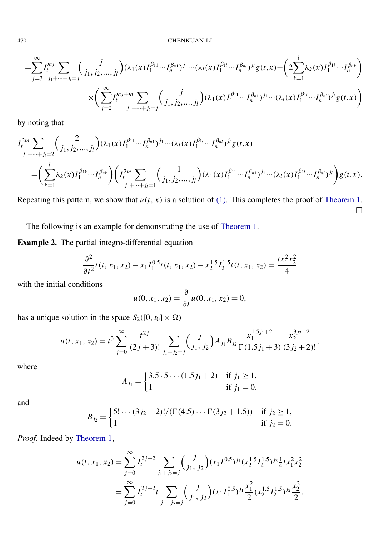470 CHENKUAN LI

$$
=\sum_{j=3}^{\infty} I_{j1}^{mj} \sum_{j_1+\cdots+j_l=j} {j \choose j_1,j_2,\ldots,j_l} (\lambda_1(x)I_1^{\beta_{11}} \cdots I_n^{\beta_{n1}})^{j_1} \cdots (\lambda_l(x)I_1^{\beta_{1l}} \cdots I_n^{\beta_{nl}})^{j_l} g(t,x) - \left(2 \sum_{k=1}^l \lambda_k(x)I_1^{\beta_{1k}} \cdots I_n^{\beta_{nk}}\right) \times \left(\sum_{j=2}^{\infty} I_j^{mj+m} \sum_{j_1+\cdots+j_l=j} {j \choose j_1,j_2,\ldots,j_l} (\lambda_1(x)I_1^{\beta_{11}} \cdots I_n^{\beta_{n1}})^{j_1} \cdots (\lambda_l(x)I_1^{\beta_{1l}} \cdots I_n^{\beta_{nl}})^{j_l} g(t,x)\right)
$$

by noting that

$$
I_{i}^{2m} \sum_{j_{1}+\cdots+j_{l}=2} {2 \choose j_{1},j_{2},...,j_{l}} (\lambda_{1}(x)I_{1}^{\beta_{11}}...I_{n}^{\beta_{n1}})^{j_{1}}...(\lambda_{l}(x)I_{1}^{\beta_{1l}}...I_{n}^{\beta_{nl}})^{j_{l}} g(t,x)
$$
  
=
$$
\left(\sum_{k=1}^{l} \lambda_{k}(x)I_{1}^{\beta_{1k}}...I_{n}^{\beta_{nk}}\right) \left(I_{i}^{2m} \sum_{j_{1}+\cdots+j_{l}=1} {1 \choose j_{1},j_{2},...,j_{l}} (\lambda_{1}(x)I_{1}^{\beta_{11}}...I_{n}^{\beta_{n1}})^{j_{1}}...(\lambda_{l}(x)I_{1}^{\beta_{1l}}...I_{n}^{\beta_{nl}})^{j_{l}}\right)g(t,x).
$$

Repeating this pattern, we show that  $u(t, x)$  is a solution of [\(1\).](#page-1-1) This completes the proof of [Theorem 1.](#page-3-1)  $\Box$ 

The following is an example for demonstrating the use of [Theorem 1.](#page-3-1)

<span id="page-7-0"></span>Example 2. The partial integro-differential equation

$$
\frac{\partial^2}{\partial t^2}t(t, x_1, x_2) - x_1 I_1^{0.5}t(t, x_1, x_2) - x_2^{1.5}I_2^{1.5}t(t, x_1, x_2) = \frac{tx_1^2 x_2^2}{4}
$$

with the initial conditions

$$
u(0, x_1, x_2) = \frac{\partial}{\partial t} u(0, x_1, x_2) = 0,
$$

has a unique solution in the space  $S_2([0, t_0] \times \Omega)$ 

$$
u(t, x_1, x_2) = t^3 \sum_{j=0}^{\infty} \frac{t^{2j}}{(2j+3)!} \sum_{j_1+j_2=j} {j \choose j_1, j_2} A_{j_1} B_{j_2} \frac{x_1^{1.5j_1+2}}{\Gamma(1.5j_1+3)} \frac{x_2^{3j_2+2}}{(3j_2+2)!},
$$

where

$$
A_{j_1} = \begin{cases} 3.5 \cdot 5 \cdots (1.5j_1 + 2) & \text{if } j_1 \ge 1, \\ 1 & \text{if } j_1 = 0, \end{cases}
$$

and

$$
B_{j_2} = \begin{cases} 5! \cdots (3j_2 + 2)! / (\Gamma(4.5) \cdots \Gamma(3j_2 + 1.5)) & \text{if } j_2 \ge 1, \\ 1 & \text{if } j_2 = 0. \end{cases}
$$

*Proof.* Indeed by [Theorem 1,](#page-3-1)

$$
u(t, x_1, x_2) = \sum_{j=0}^{\infty} I_j^{2j+2} \sum_{j_1+j_2=j} {j \choose j_1, j_2} (x_1 I_1^{0.5})^{j_1} (x_2^{1.5} I_2^{1.5})^{j_2} \frac{1}{4} t x_1^2 x_2^2
$$
  
= 
$$
\sum_{j=0}^{\infty} I_j^{2j+2} t \sum_{j_1+j_2=j} {j \choose j_1, j_2} (x_1 I_1^{0.5})^{j_1} \frac{x_1^2}{2} (x_2^{1.5} I_2^{1.5})^{j_2} \frac{x_2^2}{2}.
$$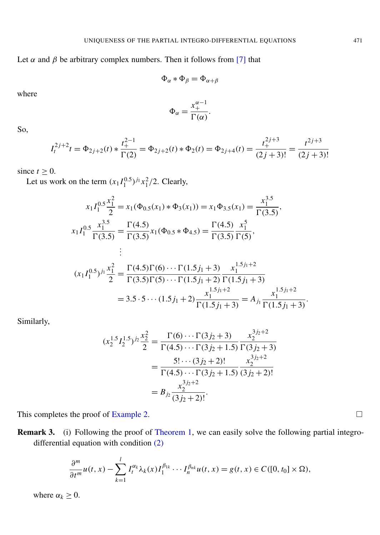Let  $\alpha$  and  $\beta$  be arbitrary complex numbers. Then it follows from [\[7\]](#page-12-15) that

$$
\Phi_\alpha * \Phi_\beta = \Phi_{\alpha+\beta}
$$

where

$$
\Phi_{\alpha} = \frac{x_+^{\alpha-1}}{\Gamma(\alpha)}.
$$

So,

$$
I_t^{2j+2}t = \Phi_{2j+2}(t) * \frac{t_+^{2-1}}{\Gamma(2)} = \Phi_{2j+2}(t) * \Phi_2(t) = \Phi_{2j+4}(t) = \frac{t_+^{2j+3}}{(2j+3)!} = \frac{t^{2j+3}}{(2j+3)!}
$$

since  $t \geq 0$ .

Let us work on the term  $(x_1 I_1^{0.5})^{j_1} x_1^2/2$ . Clearly,

$$
x_1 I_1^{0.5} \frac{x_1^2}{2} = x_1(\Phi_{0.5}(x_1) * \Phi_3(x_1)) = x_1 \Phi_{3.5}(x_1) = \frac{x_1^{3.5}}{\Gamma(3.5)},
$$
  
\n
$$
x_1 I_1^{0.5} \frac{x_1^{3.5}}{\Gamma(3.5)} = \frac{\Gamma(4.5)}{\Gamma(3.5)} x_1(\Phi_{0.5} * \Phi_{4.5}) = \frac{\Gamma(4.5)}{\Gamma(3.5)} \frac{x_1^5}{\Gamma(5)},
$$
  
\n
$$
\vdots
$$
  
\n
$$
(x_1 I_1^{0.5})^{j_1} \frac{x_1^2}{2} = \frac{\Gamma(4.5)\Gamma(6) \cdots \Gamma(1.5j_1 + 3)}{\Gamma(3.5)\Gamma(5) \cdots \Gamma(1.5j_1 + 2)} \frac{x_1^{1.5j_1 + 2}}{\Gamma(1.5j_1 + 3)}
$$
  
\n= 3.5 \cdot 5 \cdots (1.5j\_1 + 2) \frac{x\_1^{1.5j\_1 + 2}}{\Gamma(1.5j\_1 + 3)} = A\_{j\_1} \frac{x\_1^{1.5j\_1 + 2}}{\Gamma(1.5j\_1 + 3)}.

Similarly,

$$
(x_2^{1.5}I_2^{1.5})^{j_2}\frac{x_2^2}{2} = \frac{\Gamma(6)\cdots\Gamma(3j_2+3)}{\Gamma(4.5)\cdots\Gamma(3j_2+1.5)}\frac{x_2^{3j_2+2}}{\Gamma(3j_2+3)}
$$
  
= 
$$
\frac{5!\cdots(3j_2+2)!}{\Gamma(4.5)\cdots\Gamma(3j_2+1.5)}\frac{x_2^{3j_2+2}}{(3j_2+2)!}
$$
  
= 
$$
B_{j_2}\frac{x_2^{3j_2+2}}{(3j_2+2)!}.
$$

This completes the proof of [Example 2.](#page-7-0)  $\Box$ 

Remark 3. (i) Following the proof of [Theorem 1,](#page-3-1) we can easily solve the following partial integrodifferential equation with condition [\(2\)](#page-1-0)

$$
\frac{\partial^m}{\partial t^m}u(t,x)-\sum_{k=1}^l I_t^{\alpha_k}\lambda_k(x)I_1^{\beta_{1k}}\cdots I_n^{\beta_{nk}}u(t,x)=g(t,x)\in C([0,t_0]\times\Omega),
$$

where  $\alpha_k \geq 0$ .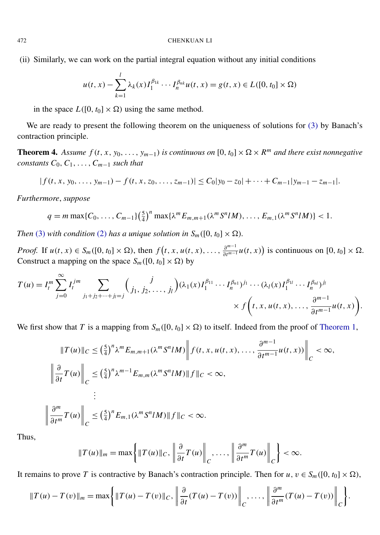(ii) Similarly, we can work on the partial integral equation without any initial conditions

$$
u(t, x) - \sum_{k=1}^{l} \lambda_k(x) I_1^{\beta_{1k}} \cdots I_n^{\beta_{nk}} u(t, x) = g(t, x) \in L([0, t_0] \times \Omega)
$$

in the space  $L([0, t_0] \times \Omega)$  using the same method.

We are ready to present the following theorem on the uniqueness of solutions for [\(3\)](#page-1-2) by Banach's contraction principle.

<span id="page-9-0"></span>**Theorem 4.** Assume  $f(t, x, y_0, \ldots, y_{m-1})$  is continuous on  $[0, t_0] \times \Omega \times R^m$  and there exist nonnegative *constants*  $C_0$ ,  $C_1$ , ...,  $C_{m-1}$  *such that* 

$$
|f(t, x, y_0, \ldots, y_{m-1}) - f(t, x, z_0, \ldots, z_{m-1})| \leq C_0|y_0 - z_0| + \cdots + C_{m-1}|y_{m-1} - z_{m-1}|.
$$

*Furthermore*, *suppose*

$$
q = m \max\{C_0, \ldots, C_{m-1}\}\left(\frac{5}{4}\right)^n \max\{\lambda^m E_{m,m+1}(\lambda^m S^n l M), \ldots, E_{m,1}(\lambda^m S^n l M)\} < 1.
$$

*Then* [\(3\)](#page-1-2) *with condition* [\(2\)](#page-1-0) *has a unique solution in*  $S_m([0, t_0] \times \Omega)$ *.* 

*Proof.* If  $u(t, x) \in S_m([0, t_0] \times \Omega)$ , then  $f(t, x, u(t, x), \ldots, \frac{\partial^{m-1}}{\partial t^{m-1}})$  $\frac{\partial^{m-1}}{\partial t^{m-1}} u(t, x)$  is continuous on  $[0, t_0] \times \Omega$ . Construct a mapping on the space  $S_m([0, t_0] \times \Omega)$  by

$$
T(u) = I_l^m \sum_{j=0}^{\infty} I_l^{jm} \sum_{j_1+j_2+\cdots+j_l=j} {j \choose j_1, j_2, \ldots, j_l} (\lambda_1(x) I_1^{\beta_{11}} \cdots I_n^{\beta_{n1}})^{j_1} \cdots (\lambda_l(x) I_1^{\beta_{1l}} \cdots I_n^{\beta_{nl}})^{j_l} \times f\left(t, x, u(t, x), \ldots, \frac{\partial^{m-1}}{\partial t^{m-1}} u(t, x)\right).
$$

We first show that *T* is a mapping from  $S_m([0, t_0] \times \Omega)$  to itself. Indeed from the proof of [Theorem 1,](#page-3-1)

$$
||T(u)||_{C} \leq \left(\frac{5}{4}\right)^{n} \lambda^{m} E_{m,m+1}(\lambda^{m} S^{n} U M) \left|| f(t, x, u(t, x), \dots, \frac{\partial^{m-1}}{\partial t^{m-1}} u(t, x)) \right||_{C} < \infty,
$$
  

$$
\left|| \frac{\partial}{\partial t} T(u) \right||_{C} \leq \left(\frac{5}{4}\right)^{n} \lambda^{m-1} E_{m,m}(\lambda^{m} S^{n} U M) || f ||_{C} < \infty,
$$
  

$$
\vdots
$$
  

$$
\left|| \frac{\partial^{m}}{\partial t^{m}} T(u) \right||_{C} \leq \left(\frac{5}{4}\right)^{n} E_{m,1}(\lambda^{m} S^{n} U M) || f ||_{C} < \infty.
$$

Thus,

$$
||T(u)||_{m} = \max \left\{ ||T(u)||_{C}, \left\|\frac{\partial}{\partial t}T(u)\right\|_{C}, \ldots, \left\|\frac{\partial^{m}}{\partial t^{m}}T(u)\right\|_{C} \right\} < \infty.
$$

It remains to prove *T* is contractive by Banach's contraction principle. Then for  $u, v \in S_m([0, t_0] \times \Omega)$ ,

$$
||T(u)-T(v)||_m = \max\bigg\{||T(u)-T(v)||_C, \left\|\frac{\partial}{\partial t}(T(u)-T(v))\right\|_C, \ldots, \left\|\frac{\partial^m}{\partial t^m}(T(u)-T(v))\right\|_C\bigg\}.
$$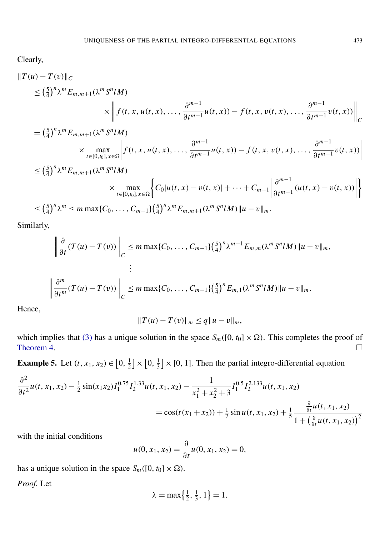Clearly,

$$
\|T(u) - T(v)\|_{C}
$$
  
\n
$$
\leq (\frac{5}{4})^n \lambda^m E_{m,m+1}(\lambda^m S^n M)
$$
  
\n
$$
\times \left\| f(t, x, u(t, x), \dots, \frac{\partial^{m-1}}{\partial t^{m-1}} u(t, x)) - f(t, x, v(t, x), \dots, \frac{\partial^{m-1}}{\partial t^{m-1}} v(t, x)) \right\|_{C}
$$

$$
= \left(\frac{5}{4}\right)^n \lambda^m E_{m,m+1}(\lambda^m S^n I M)
$$
  
 
$$
\times \max_{t \in [0,t_0], x \in \Omega} \left| f(t, x, u(t, x), \dots, \frac{\partial^{m-1}}{\partial t^{m-1}} u(t, x)) - f(t, x, v(t, x), \dots, \frac{\partial^{m-1}}{\partial t^{m-1}} v(t, x)) \right|
$$

$$
\leq (\frac{5}{4})^n \lambda^m E_{m,m+1}(\lambda^m S^n M)
$$
  
\$\times \max\_{t \in [0,t\_0], x \in \Omega} \Big\{ C\_0 |u(t,x) - v(t,x)| + \cdots + C\_{m-1} \Big| \frac{\partial^{m-1}}{\partial t^{m-1}} (u(t,x) - v(t,x)) \Big| \Big\}  
\$\leq (\frac{5}{4})^n \lambda^m \leq m \max\{C\_0, \ldots, C\_{m-1}\} (\frac{5}{4})^n \lambda^m E\_{m,m+1}(\lambda^m S^n M) ||u - v||\_m.

Similarly,

$$
\left\|\frac{\partial}{\partial t}(T(u)-T(v))\right\|_{C} \leq m \max\{C_0,\ldots,C_{m-1}\}\left(\frac{5}{4}\right)^n \lambda^{m-1} E_{m,m}(\lambda^m S^n I M)\|u-v\|_m,
$$
  
\n
$$
\left\|\frac{\partial^m}{\partial t^m}(T(u)-T(v))\right\|_{C} \leq m \max\{C_0,\ldots,C_{m-1}\}\left(\frac{5}{4}\right)^n E_{m,1}(\lambda^m S^n I M)\|u-v\|_m.
$$

Hence,

$$
||T(u) - T(v)||_m \le q ||u - v||_m,
$$

which implies that [\(3\)](#page-1-2) has a unique solution in the space  $S_m([0, t_0] \times \Omega)$ . This completes the proof of Theorem 4. [Theorem 4.](#page-9-0)  $\Box$ 

<span id="page-10-0"></span>**Example 5.** Let  $(t, x_1, x_2) \in [0, \frac{1}{2}]$  $\frac{1}{2}$   $\times$  [0,  $\frac{1}{3}$  $\frac{1}{3}$  × [0, 1]. Then the partial integro-differential equation

$$
\frac{\partial^2}{\partial t^2} u(t, x_1, x_2) - \frac{1}{2} \sin(x_1 x_2) I_1^{0.75} I_2^{1.33} u(t, x_1, x_2) - \frac{1}{x_1^2 + x_2^2 + 3} I_1^{0.5} I_2^{2.133} u(t, x_1, x_2)
$$
  
=  $\cos(t(x_1 + x_2)) + \frac{1}{7} \sin u(t, x_1, x_2) + \frac{1}{5} \frac{\frac{\partial}{\partial t} u(t, x_1, x_2)}{1 + (\frac{\partial}{\partial t} u(t, x_1, x_2))^2}$ 

with the initial conditions

$$
u(0, x_1, x_2) = \frac{\partial}{\partial t} u(0, x_1, x_2) = 0,
$$

has a unique solution in the space  $S_m([0, t_0] \times \Omega)$ .

*Proof.* Let

$$
\lambda = \max\left\{\frac{1}{2}, \frac{1}{3}, 1\right\} = 1.
$$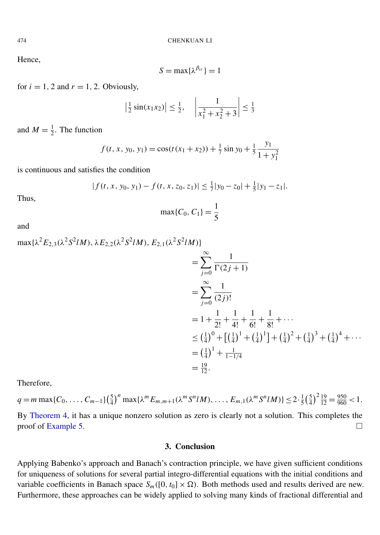Hence,

$$
S=\max\{\lambda^{\beta_{ir}}\}=1
$$

for  $i = 1, 2$  and  $r = 1, 2$ . Obviously,

$$
\left|\frac{1}{2}\sin(x_1x_2)\right| \le \frac{1}{2}, \quad \left|\frac{1}{x_1^2 + x_2^2 + 3}\right| \le \frac{1}{3}
$$

and  $M = \frac{1}{2}$  $\frac{1}{2}$ . The function

$$
f(t, x, y_0, y_1) = \cos(t(x_1 + x_2)) + \frac{1}{7}\sin y_0 + \frac{1}{5}\frac{y_1}{1 + y_1^2}
$$

is continuous and satisfies the condition

$$
|f(t, x, y_0, y_1) - f(t, x, z_0, z_1)| \leq \frac{1}{7}|y_0 - z_0| + \frac{1}{5}|y_1 - z_1|.
$$

Thus,

$$
\max\{C_0, C_1\} = \frac{1}{5}
$$

and

$$
\max\{\lambda^{2}E_{2,3}(\lambda^{2}S^{2}lM), \lambda E_{2,2}(\lambda^{2}S^{2}lM), E_{2,1}(\lambda^{2}S^{2}lM)\}
$$
\n
$$
= \sum_{j=0}^{\infty} \frac{1}{\Gamma(2j+1)}
$$
\n
$$
= \sum_{j=0}^{\infty} \frac{1}{(2j)!}
$$
\n
$$
= 1 + \frac{1}{2!} + \frac{1}{4!} + \frac{1}{6!} + \frac{1}{8!} + \cdots
$$
\n
$$
\leq (\frac{1}{4})^{0} + [(\frac{1}{4})^{1} + (\frac{1}{4})^{1}] + (\frac{1}{4})^{2} + (\frac{1}{4})^{3} + (\frac{1}{4})^{4} + \cdots
$$
\n
$$
= (\frac{1}{4})^{1} + \frac{1}{1-1/4}
$$
\n
$$
= \frac{19}{12}.
$$

Therefore,

$$
q = m \max\{C_0, \dots, C_{m-1}\}\left(\frac{5}{4}\right)^n \max\{\lambda^m E_{m,m+1}(\lambda^m S^n l M), \dots, E_{m,1}(\lambda^m S^n l M)\} \le 2 \cdot \frac{1}{5} \left(\frac{5}{4}\right)^2 \frac{19}{12} = \frac{950}{960} < 1.
$$
\nBy Theorem 4, it has a unique nonzero solution as zero is clearly not a solution. This completes the

proof of [Example 5.](#page-10-0)

# 3. Conclusion

Applying Babenko's approach and Banach's contraction principle, we have given sufficient conditions for uniqueness of solutions for several partial integro-differential equations with the initial conditions and variable coefficients in Banach space  $S_m([0, t_0] \times \Omega)$ . Both methods used and results derived are new. Furthermore, these approaches can be widely applied to solving many kinds of fractional differential and